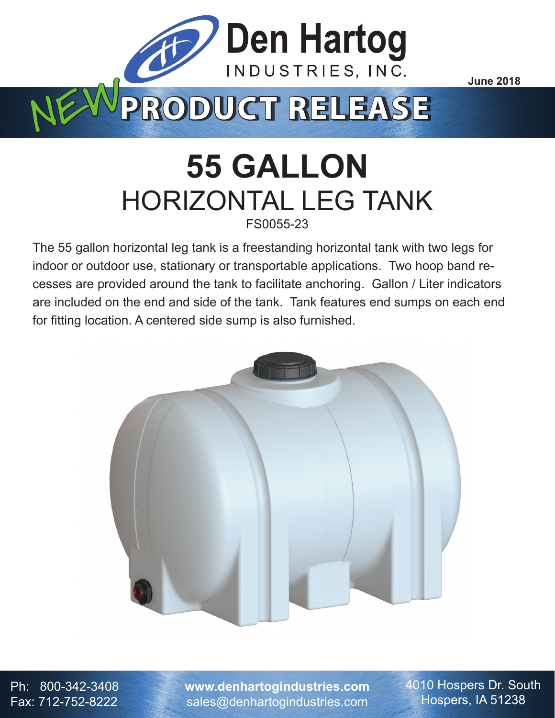

## **55 GALLON** HORIZONTAL LEG TANK FS0055-23

The 55 gallon horizontal leg tank is a freestanding horizontal tank with two legs for indoor or outdoor use, stationary or transportable applications. Two hoop band recesses are provided around the tank to facilitate anchoring. Gallon / Liter indicators are included on the end and side of the tank. Tank features end sumps on each end for fitting location. A centered side sump is also furnished.



Ph: 800-342-3408 Fax: 712-752-8222

**www.denhartogindustries.com** sales@denhartogindustries.com

4010 Hospers Dr. South Hospers, IA 51238